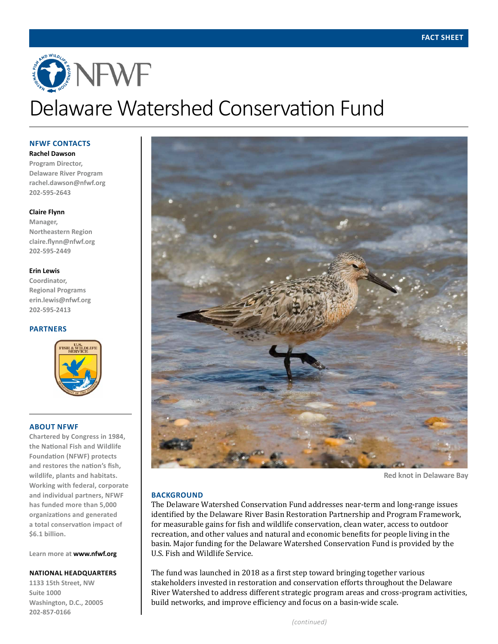# ONEWE Delaware Watershed Conservation Fund

**NFWF CONTACTS**

**Rachel Dawson Program Director, Delaware River Program rachel.dawson@nfwf.org 202-595-2643**

## **Claire Flynn**

**Manager, Northeastern Region claire.flynn@nfwf.org 202-595-2449**

## **Erin Lewis**

**Coordinator, Regional Programs erin.lewis@nfwf.org 202-595-2413**

## **PARTNERS**



## **ABOUT NFWF**

**Chartered by Congress in 1984, the National Fish and Wildlife Foundation (NFWF) protects and restores the nation's fish, wildlife, plants and habitats. Working with federal, corporate and individual partners, NFWF has funded more than 5,000 organizations and generated a total conservation impact of \$6.1 billion.** 

**Learn more at www.nfwf.org**

### **NATIONAL HEADQUARTERS**

**1133 15th Street, NW Suite 1000 Washington, D.C., 20005 202-857-0166**



**Red knot in Delaware Bay**

# **BACKGROUND**

The Delaware Watershed Conservation Fund addresses near-term and long-range issues identified by the Delaware River Basin Restoration Partnership and Program Framework, for measurable gains for fish and wildlife conservation, clean water, access to outdoor recreation, and other values and natural and economic benefits for people living in the basin. Major funding for the Delaware Watershed Conservation Fund is provided by the U.S. Fish and Wildlife Service.

The fund was launched in 2018 as a first step toward bringing together various stakeholders invested in restoration and conservation efforts throughout the Delaware River Watershed to address different strategic program areas and cross-program activities, build networks, and improve efficiency and focus on a basin-wide scale.